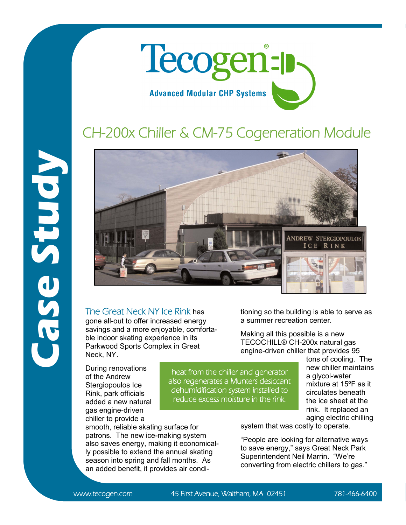

## CH-200x Chiller & CM-75 Cogeneration Module



The Great Neck NY Ice Rink has gone all-out to offer increased energy savings and a more enjoyable, comfortable indoor skating experience in its Parkwood Sports Complex in Great

During renovations of the Andrew Stergiopoulos Ice Rink, park officials added a new natural gas engine-driven chiller to provide a

Neck, NY.

smooth, reliable skating surface for patrons. The new ice-making system also saves energy, making it economically possible to extend the annual skating season into spring and fall months. As an added benefit, it provides air conditioning so the building is able to serve as a summer recreation center.

Making all this possible is a new TECOCHILL® CH-200x natural gas engine-driven chiller that provides 95

tons of cooling. The new chiller maintains a glycol-water mixture at 15ºF as it circulates beneath the ice sheet at the rink. It replaced an aging electric chilling

system that was costly to operate.

"People are looking for alternative ways to save energy," says Great Neck Park Superintendent Neil Marrin. "We're converting from electric chillers to gas."

heat from the chiller and generator also regenerates a Munters desiccant dehumidification system installed to reduce excess moisture in the rink.